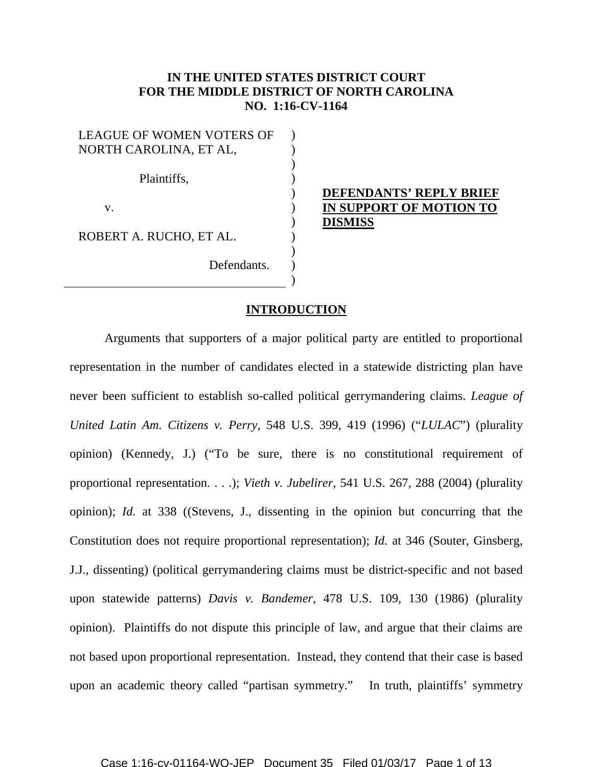## **IN THE UNITED STATES DISTRICT COURT FOR THE MIDDLE DISTRICT OF NORTH CAROLINA NO. 1:16-CV-1164**

) ) ) ) ) ) ) ) ) ) )

| <b>LEAGUE OF WOMEN VOTERS OF</b> |
|----------------------------------|
| NORTH CAROLINA, ET AL,           |
|                                  |
| Plaintiffs,                      |
|                                  |
| V.                               |
|                                  |
| ROBERT A. RUCHO, ET AL.          |
|                                  |
| Defendants.                      |
|                                  |

## **DEFENDANTS' REPLY BRIEF IN SUPPORT OF MOTION TO DISMISS**

## **INTRODUCTION**

Arguments that supporters of a major political party are entitled to proportional representation in the number of candidates elected in a statewide districting plan have never been sufficient to establish so-called political gerrymandering claims. *League of United Latin Am. Citizens v. Perry*, 548 U.S. 399, 419 (1996) ("*LULAC*") (plurality opinion) (Kennedy, J.) ("To be sure, there is no constitutional requirement of proportional representation. . . .); *Vieth v. Jubelirer*, 541 U.S. 267, 288 (2004) (plurality opinion); *Id.* at 338 ((Stevens, J., dissenting in the opinion but concurring that the Constitution does not require proportional representation); *Id.* at 346 (Souter, Ginsberg, J.J., dissenting) (political gerrymandering claims must be district-specific and not based upon statewide patterns) *Davis v. Bandemer*, 478 U.S. 109, 130 (1986) (plurality opinion). Plaintiffs do not dispute this principle of law, and argue that their claims are not based upon proportional representation. Instead, they contend that their case is based upon an academic theory called "partisan symmetry." In truth, plaintiffs' symmetry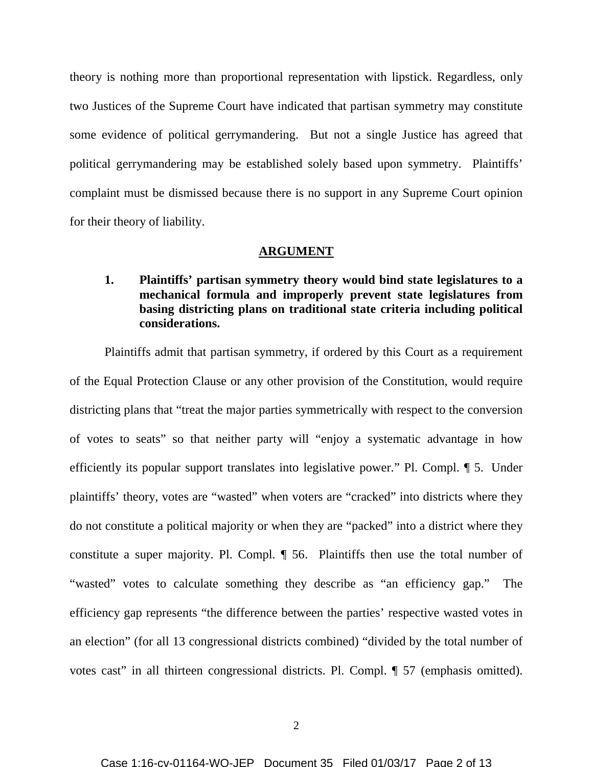theory is nothing more than proportional representation with lipstick. Regardless, only two Justices of the Supreme Court have indicated that partisan symmetry may constitute some evidence of political gerrymandering. But not a single Justice has agreed that political gerrymandering may be established solely based upon symmetry. Plaintiffs' complaint must be dismissed because there is no support in any Supreme Court opinion for their theory of liability.

#### **ARGUMENT**

# **1. Plaintiffs' partisan symmetry theory would bind state legislatures to a mechanical formula and improperly prevent state legislatures from basing districting plans on traditional state criteria including political considerations.**

Plaintiffs admit that partisan symmetry, if ordered by this Court as a requirement of the Equal Protection Clause or any other provision of the Constitution, would require districting plans that "treat the major parties symmetrically with respect to the conversion of votes to seats" so that neither party will "enjoy a systematic advantage in how efficiently its popular support translates into legislative power." Pl. Compl. ¶ 5. Under plaintiffs' theory, votes are "wasted" when voters are "cracked" into districts where they do not constitute a political majority or when they are "packed" into a district where they constitute a super majority. Pl. Compl. ¶ 56. Plaintiffs then use the total number of "wasted" votes to calculate something they describe as "an efficiency gap." The efficiency gap represents "the difference between the parties' respective wasted votes in an election" (for all 13 congressional districts combined) "divided by the total number of votes cast" in all thirteen congressional districts. Pl. Compl.  $\P$  57 (emphasis omitted).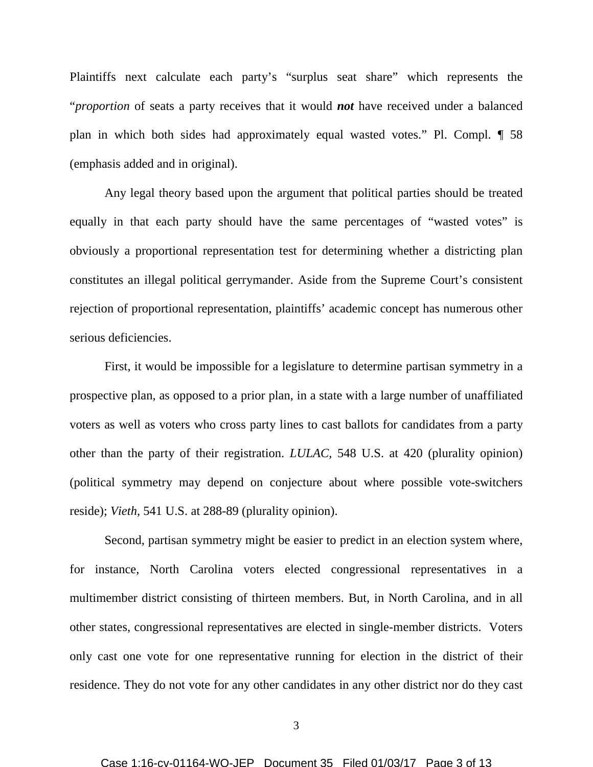Plaintiffs next calculate each party's "surplus seat share" which represents the "*proportion* of seats a party receives that it would *not* have received under a balanced plan in which both sides had approximately equal wasted votes." Pl. Compl. ¶ 58 (emphasis added and in original).

Any legal theory based upon the argument that political parties should be treated equally in that each party should have the same percentages of "wasted votes" is obviously a proportional representation test for determining whether a districting plan constitutes an illegal political gerrymander. Aside from the Supreme Court's consistent rejection of proportional representation, plaintiffs' academic concept has numerous other serious deficiencies.

First, it would be impossible for a legislature to determine partisan symmetry in a prospective plan, as opposed to a prior plan, in a state with a large number of unaffiliated voters as well as voters who cross party lines to cast ballots for candidates from a party other than the party of their registration. *LULAC,* 548 U.S. at 420 (plurality opinion) (political symmetry may depend on conjecture about where possible vote-switchers reside); *Vieth*, 541 U.S. at 288-89 (plurality opinion).

Second, partisan symmetry might be easier to predict in an election system where, for instance, North Carolina voters elected congressional representatives in a multimember district consisting of thirteen members. But, in North Carolina, and in all other states, congressional representatives are elected in single-member districts. Voters only cast one vote for one representative running for election in the district of their residence. They do not vote for any other candidates in any other district nor do they cast

3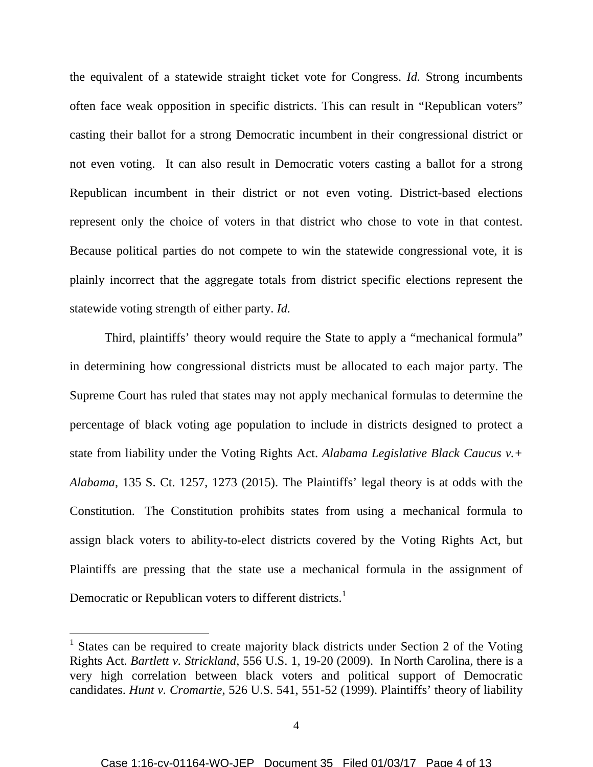the equivalent of a statewide straight ticket vote for Congress. *Id.* Strong incumbents often face weak opposition in specific districts. This can result in "Republican voters" casting their ballot for a strong Democratic incumbent in their congressional district or not even voting. It can also result in Democratic voters casting a ballot for a strong Republican incumbent in their district or not even voting. District-based elections represent only the choice of voters in that district who chose to vote in that contest. Because political parties do not compete to win the statewide congressional vote, it is plainly incorrect that the aggregate totals from district specific elections represent the statewide voting strength of either party. *Id.*

Third, plaintiffs' theory would require the State to apply a "mechanical formula" in determining how congressional districts must be allocated to each major party. The Supreme Court has ruled that states may not apply mechanical formulas to determine the percentage of black voting age population to include in districts designed to protect a state from liability under the Voting Rights Act. *Alabama Legislative Black Caucus v.+ Alabama*, 135 S. Ct. 1257, 1273 (2015). The Plaintiffs' legal theory is at odds with the Constitution. The Constitution prohibits states from using a mechanical formula to assign black voters to ability-to-elect districts covered by the Voting Rights Act, but Plaintiffs are pressing that the state use a mechanical formula in the assignment of Democratic or Republican voters to different districts.<sup>1</sup>

<sup>1</sup> States can be required to create majority black districts under Section 2 of the Voting Rights Act. *Bartlett v. Strickland*, 556 U.S. 1, 19-20 (2009). In North Carolina, there is a very high correlation between black voters and political support of Democratic candidates. *Hunt v. Cromartie*, 526 U.S. 541, 551-52 (1999). Plaintiffs' theory of liability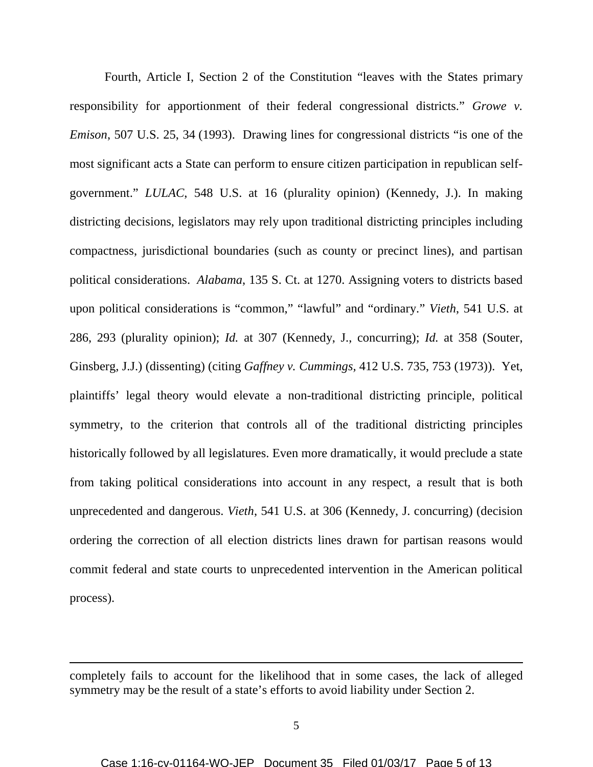Fourth, Article I, Section 2 of the Constitution "leaves with the States primary responsibility for apportionment of their federal congressional districts." *Growe v. Emison*, 507 U.S. 25, 34 (1993). Drawing lines for congressional districts "is one of the most significant acts a State can perform to ensure citizen participation in republican selfgovernment." *LULAC*, 548 U.S. at 16 (plurality opinion) (Kennedy, J.). In making districting decisions, legislators may rely upon traditional districting principles including compactness, jurisdictional boundaries (such as county or precinct lines), and partisan political considerations. *Alabama*, 135 S. Ct. at 1270. Assigning voters to districts based upon political considerations is "common," "lawful" and "ordinary." *Vieth*, 541 U.S. at 286, 293 (plurality opinion); *Id.* at 307 (Kennedy, J., concurring); *Id.* at 358 (Souter, Ginsberg, J.J.) (dissenting) (citing *Gaffney v. Cummings,* 412 U.S. 735, 753 (1973)). Yet, plaintiffs' legal theory would elevate a non-traditional districting principle, political symmetry, to the criterion that controls all of the traditional districting principles historically followed by all legislatures. Even more dramatically, it would preclude a state from taking political considerations into account in any respect, a result that is both unprecedented and dangerous. *Vieth*, 541 U.S. at 306 (Kennedy, J. concurring) (decision ordering the correction of all election districts lines drawn for partisan reasons would commit federal and state courts to unprecedented intervention in the American political process).

completely fails to account for the likelihood that in some cases, the lack of alleged symmetry may be the result of a state's efforts to avoid liability under Section 2.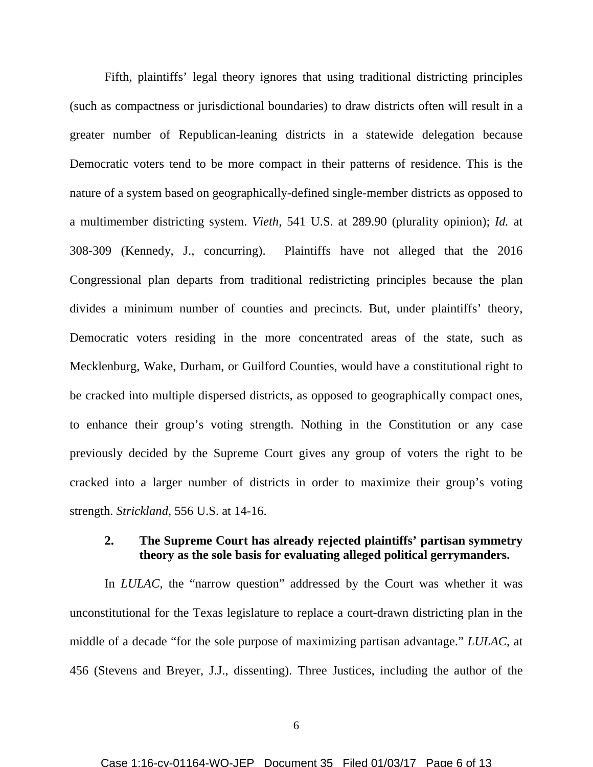Fifth, plaintiffs' legal theory ignores that using traditional districting principles (such as compactness or jurisdictional boundaries) to draw districts often will result in a greater number of Republican-leaning districts in a statewide delegation because Democratic voters tend to be more compact in their patterns of residence. This is the nature of a system based on geographically-defined single-member districts as opposed to a multimember districting system. *Vieth,* 541 U.S. at 289.90 (plurality opinion); *Id.* at 308-309 (Kennedy, J., concurring). Plaintiffs have not alleged that the 2016 Congressional plan departs from traditional redistricting principles because the plan divides a minimum number of counties and precincts. But, under plaintiffs' theory, Democratic voters residing in the more concentrated areas of the state, such as Mecklenburg, Wake, Durham, or Guilford Counties, would have a constitutional right to be cracked into multiple dispersed districts, as opposed to geographically compact ones, to enhance their group's voting strength. Nothing in the Constitution or any case previously decided by the Supreme Court gives any group of voters the right to be cracked into a larger number of districts in order to maximize their group's voting strength. *Strickland,* 556 U.S. at 14-16.

## **2. The Supreme Court has already rejected plaintiffs' partisan symmetry theory as the sole basis for evaluating alleged political gerrymanders.**

In *LULAC*, the "narrow question" addressed by the Court was whether it was unconstitutional for the Texas legislature to replace a court-drawn districting plan in the middle of a decade "for the sole purpose of maximizing partisan advantage." *LULAC*, at 456 (Stevens and Breyer, J.J., dissenting). Three Justices, including the author of the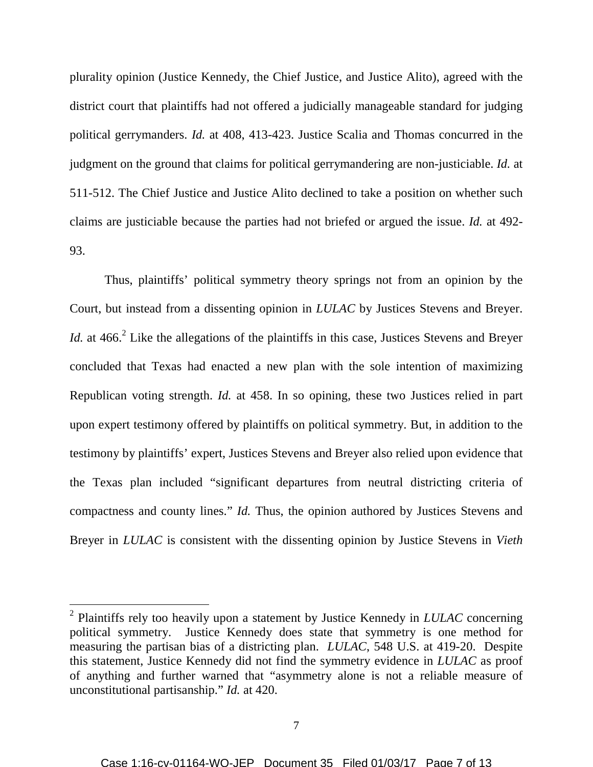plurality opinion (Justice Kennedy, the Chief Justice, and Justice Alito), agreed with the district court that plaintiffs had not offered a judicially manageable standard for judging political gerrymanders. *Id.* at 408, 413-423. Justice Scalia and Thomas concurred in the judgment on the ground that claims for political gerrymandering are non-justiciable. *Id.* at 511-512. The Chief Justice and Justice Alito declined to take a position on whether such claims are justiciable because the parties had not briefed or argued the issue. *Id.* at 492- 93.

Thus, plaintiffs' political symmetry theory springs not from an opinion by the Court, but instead from a dissenting opinion in *LULAC* by Justices Stevens and Breyer. *Id.* at  $466$ <sup>2</sup> Like the allegations of the plaintiffs in this case, Justices Stevens and Breyer concluded that Texas had enacted a new plan with the sole intention of maximizing Republican voting strength. *Id.* at 458. In so opining, these two Justices relied in part upon expert testimony offered by plaintiffs on political symmetry. But, in addition to the testimony by plaintiffs' expert, Justices Stevens and Breyer also relied upon evidence that the Texas plan included "significant departures from neutral districting criteria of compactness and county lines." *Id.* Thus, the opinion authored by Justices Stevens and Breyer in *LULAC* is consistent with the dissenting opinion by Justice Stevens in *Vieth*

<sup>2</sup> Plaintiffs rely too heavily upon a statement by Justice Kennedy in *LULAC* concerning political symmetry. Justice Kennedy does state that symmetry is one method for measuring the partisan bias of a districting plan. *LULAC*, 548 U.S. at 419-20. Despite this statement, Justice Kennedy did not find the symmetry evidence in *LULAC* as proof of anything and further warned that "asymmetry alone is not a reliable measure of unconstitutional partisanship." *Id.* at 420.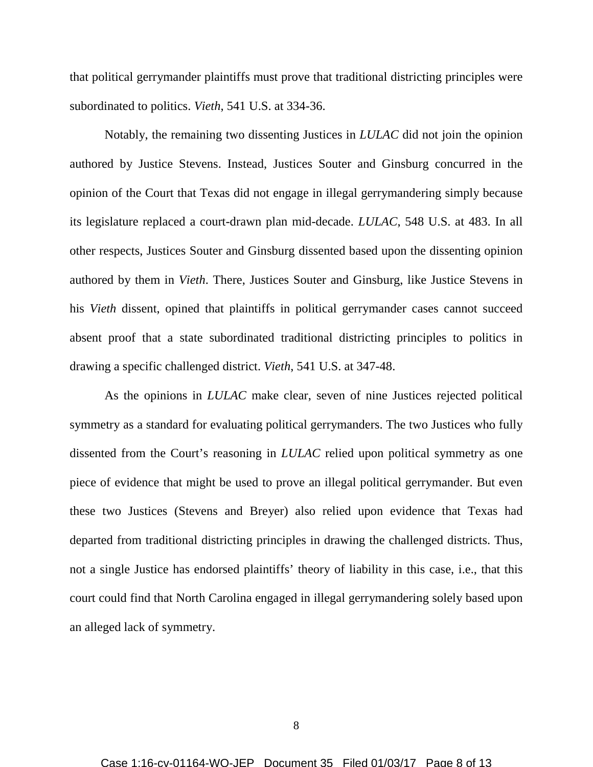that political gerrymander plaintiffs must prove that traditional districting principles were subordinated to politics. *Vieth*, 541 U.S. at 334-36.

Notably, the remaining two dissenting Justices in *LULAC* did not join the opinion authored by Justice Stevens. Instead, Justices Souter and Ginsburg concurred in the opinion of the Court that Texas did not engage in illegal gerrymandering simply because its legislature replaced a court-drawn plan mid-decade. *LULAC*, 548 U.S. at 483. In all other respects, Justices Souter and Ginsburg dissented based upon the dissenting opinion authored by them in *Vieth*. There, Justices Souter and Ginsburg, like Justice Stevens in his *Vieth* dissent, opined that plaintiffs in political gerrymander cases cannot succeed absent proof that a state subordinated traditional districting principles to politics in drawing a specific challenged district. *Vieth*, 541 U.S. at 347-48.

As the opinions in *LULAC* make clear, seven of nine Justices rejected political symmetry as a standard for evaluating political gerrymanders. The two Justices who fully dissented from the Court's reasoning in *LULAC* relied upon political symmetry as one piece of evidence that might be used to prove an illegal political gerrymander. But even these two Justices (Stevens and Breyer) also relied upon evidence that Texas had departed from traditional districting principles in drawing the challenged districts. Thus, not a single Justice has endorsed plaintiffs' theory of liability in this case, i.e., that this court could find that North Carolina engaged in illegal gerrymandering solely based upon an alleged lack of symmetry.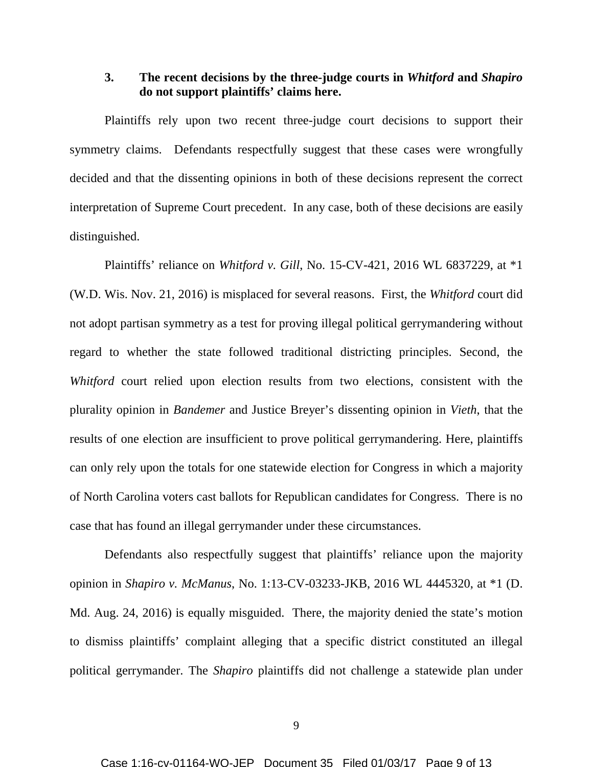### **3. The recent decisions by the three-judge courts in** *Whitford* **and** *Shapiro* **do not support plaintiffs' claims here.**

Plaintiffs rely upon two recent three-judge court decisions to support their symmetry claims. Defendants respectfully suggest that these cases were wrongfully decided and that the dissenting opinions in both of these decisions represent the correct interpretation of Supreme Court precedent. In any case, both of these decisions are easily distinguished.

Plaintiffs' reliance on *Whitford v. Gill*, No. 15-CV-421, 2016 WL 6837229, at \*1 (W.D. Wis. Nov. 21, 2016) is misplaced for several reasons. First, the *Whitford* court did not adopt partisan symmetry as a test for proving illegal political gerrymandering without regard to whether the state followed traditional districting principles. Second, the *Whitford* court relied upon election results from two elections, consistent with the plurality opinion in *Bandemer* and Justice Breyer's dissenting opinion in *Vieth*, that the results of one election are insufficient to prove political gerrymandering. Here, plaintiffs can only rely upon the totals for one statewide election for Congress in which a majority of North Carolina voters cast ballots for Republican candidates for Congress. There is no case that has found an illegal gerrymander under these circumstances.

Defendants also respectfully suggest that plaintiffs' reliance upon the majority opinion in *Shapiro v. McManus*, No. 1:13-CV-03233-JKB, 2016 WL 4445320, at \*1 (D. Md. Aug. 24, 2016) is equally misguided. There, the majority denied the state's motion to dismiss plaintiffs' complaint alleging that a specific district constituted an illegal political gerrymander. The *Shapiro* plaintiffs did not challenge a statewide plan under

9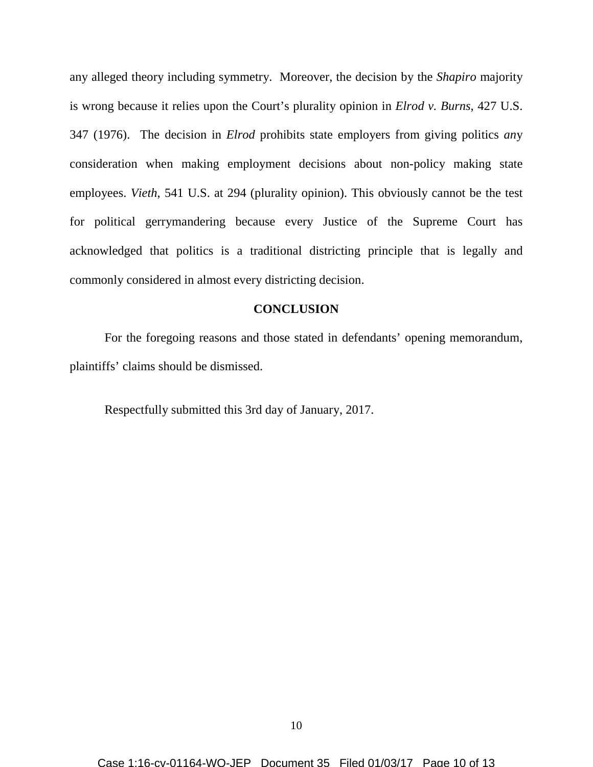any alleged theory including symmetry. Moreover, the decision by the *Shapiro* majority is wrong because it relies upon the Court's plurality opinion in *Elrod v. Burns*, 427 U.S. 347 (1976). The decision in *Elrod* prohibits state employers from giving politics *an*y consideration when making employment decisions about non-policy making state employees. *Vieth*, 541 U.S. at 294 (plurality opinion). This obviously cannot be the test for political gerrymandering because every Justice of the Supreme Court has acknowledged that politics is a traditional districting principle that is legally and commonly considered in almost every districting decision.

#### **CONCLUSION**

For the foregoing reasons and those stated in defendants' opening memorandum, plaintiffs' claims should be dismissed.

Respectfully submitted this 3rd day of January, 2017.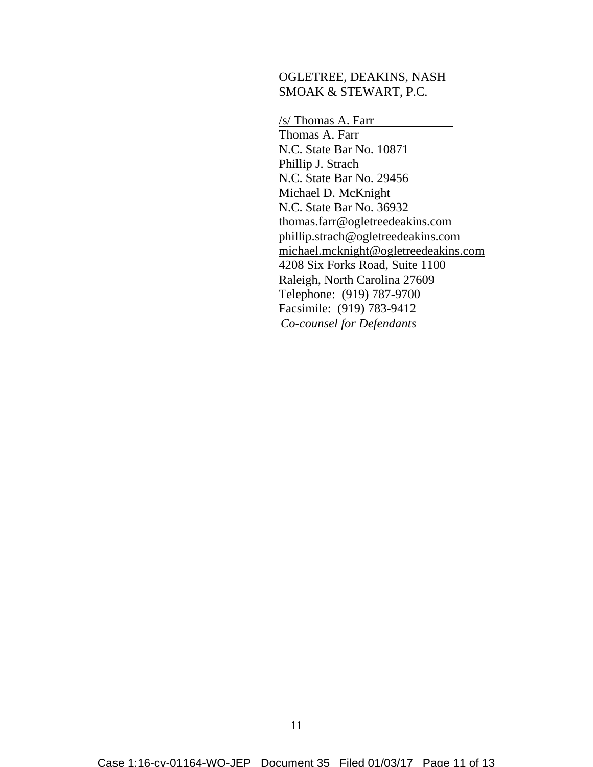#### OGLETREE, DEAKINS, NASH SMOAK & STEWART, P.C.

/s/ Thomas A. Farr Thomas A. Farr N.C. State Bar No. 10871 Phillip J. Strach N.C. State Bar No. 29456 Michael D. McKnight N.C. State Bar No. 36932 thomas.farr@ogletreedeakins.com phillip.strach@ogletreedeakins.com michael.mcknight@ogletreedeakins.com 4208 Six Forks Road, Suite 1100 Raleigh, North Carolina 27609 Telephone: (919) 787-9700 Facsimile: (919) 783-9412 *Co-counsel for Defendants*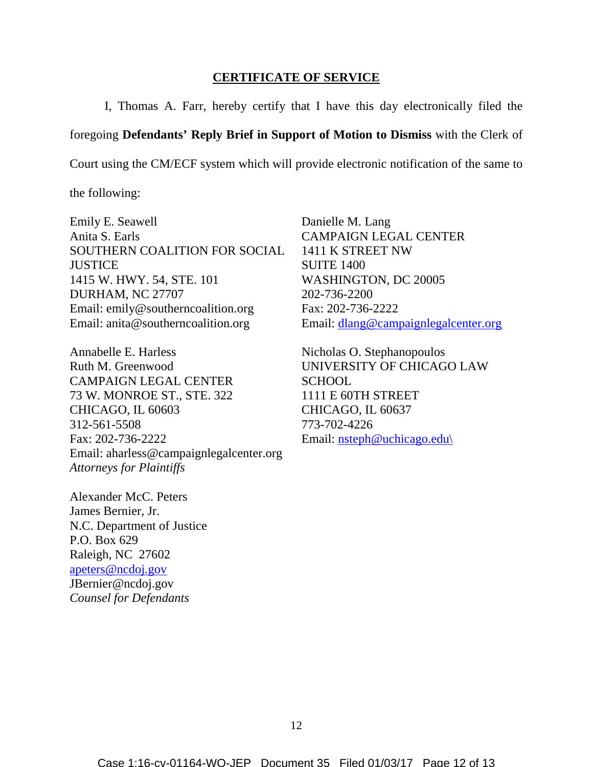#### **CERTIFICATE OF SERVICE**

I, Thomas A. Farr, hereby certify that I have this day electronically filed the

foregoing **Defendants' Reply Brief in Support of Motion to Dismiss** with the Clerk of

Court using the CM/ECF system which will provide electronic notification of the same to

the following:

Emily E. Seawell Anita S. Earls SOUTHERN COALITION FOR SOCIAL **JUSTICE** 1415 W. HWY. 54, STE. 101 DURHAM, NC 27707 Email: emily@southerncoalition.org Email: anita@southerncoalition.org

Annabelle E. Harless Ruth M. Greenwood CAMPAIGN LEGAL CENTER 73 W. MONROE ST., STE. 322 CHICAGO, IL 60603 312-561-5508 Fax: 202-736-2222 Email: aharless@campaignlegalcenter.org *Attorneys for Plaintiffs*

Alexander McC. Peters James Bernier, Jr. N.C. Department of Justice P.O. Box 629 Raleigh, NC 27602 apeters@ncdoj.gov JBernier@ncdoj.gov *Counsel for Defendants*

Danielle M. Lang CAMPAIGN LEGAL CENTER 1411 K STREET NW SUITE 1400 WASHINGTON, DC 20005 202-736-2200 Fax: 202-736-2222 Email: dlang@campaignlegalcenter.org

Nicholas O. Stephanopoulos UNIVERSITY OF CHICAGO LAW SCHOOL 1111 E 60TH STREET CHICAGO, IL 60637 773-702-4226 Email: nsteph@uchicago.edu\